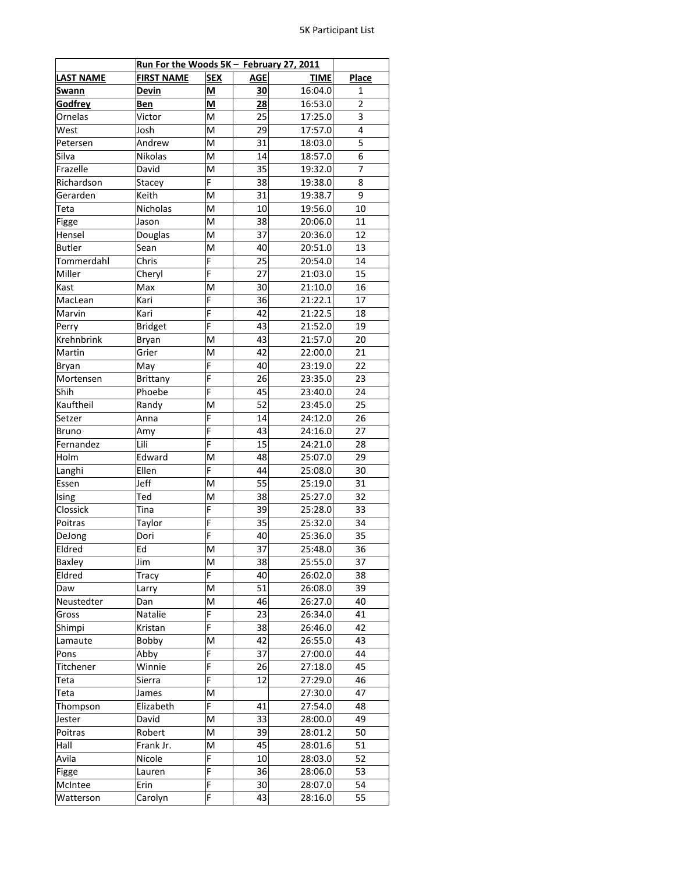|                       | Run For the Woods 5K - February 27, 2011 |                          |            |             | <b>Place</b>   |
|-----------------------|------------------------------------------|--------------------------|------------|-------------|----------------|
| <b>LAST NAME</b>      | <b>FIRST NAME</b>                        | <b>SEX</b>               | <b>AGE</b> | <b>TIME</b> |                |
| Swann                 | <b>Devin</b>                             | $\underline{\mathsf{M}}$ | 30         | 16:04.0     | 1              |
| <b>Godfrey</b>        | Ben                                      | $\underline{\mathsf{M}}$ | 28         | 16:53.0     | $\overline{2}$ |
| Ornelas               | Victor                                   | M                        | 25         | 17:25.0     | 3              |
| $\rm\overline{W}$ est | Josh                                     | M                        | 29         | 17:57.0     | 4              |
| Petersen              | Andrew                                   | M                        | 31         | 18:03.0     | 5              |
| Silva                 | Nikolas                                  | M                        | 14         | 18:57.0     | 6              |
| Frazelle              | David                                    | M                        | 35         | 19:32.0     | 7              |
| Richardson            | Stacey                                   | F                        | 38         | 19:38.0     | 8              |
| Gerarden              | Keith                                    | M                        | 31         | 19:38.7     | 9              |
| Teta                  | Nicholas                                 | M                        | 10         | 19:56.0     | 10             |
| Figge                 | Jason                                    | M                        | 38         | 20:06.0     | 11             |
| Hensel                | Douglas                                  | M                        | 37         | 20:36.0     | 12             |
| <b>Butler</b>         | Sean                                     | M                        | 40         | 20:51.0     | 13             |
| Tommerdahl            | Chris                                    | F                        | 25         | 20:54.0     | 14             |
|                       |                                          | F                        |            |             |                |
| Miller                | Cheryl                                   |                          | 27         | 21:03.0     | 15             |
| Kast                  | Max                                      | M                        | 30         | 21:10.0     | 16             |
| MacLean               | Kari                                     | F                        | 36         | 21:22.1     | 17             |
| Marvin                | Kari                                     | F                        | 42         | 21:22.5     | 18             |
| Perry                 | <b>Bridget</b>                           | F                        | 43         | 21:52.0     | 19             |
| Krehnbrink            | Bryan                                    | M                        | 43         | 21:57.0     | 20             |
| Martin                | Grier                                    | M                        | 42         | 22:00.0     | 21             |
| Bryan                 | May                                      | $\overline{F}$           | 40         | 23:19.0     | 22             |
| Mortensen             | Brittany                                 | F                        | 26         | 23:35.0     | 23             |
| Shih                  | Phoebe                                   | F                        | 45         | 23:40.0     | 24             |
| Kauftheil             | Randy                                    | M                        | 52         | 23:45.0     | 25             |
| Setzer                | _<br>Anna                                | F                        | 14         | 24:12.0     | 26             |
| Bruno                 | Amy                                      | F                        | 43         | 24:16.0     | 27             |
| Fernandez             | Lili                                     | F                        | 15         | 24:21.0     | 28             |
| Holm                  | Edward                                   | M                        | 48         | 25:07.0     | 29             |
| Langhi                | Ellen                                    | F                        | 44         | 25:08.0     | 30             |
| Essen                 | Jeff                                     | M                        | 55         | 25:19.0     | 31             |
| Ising                 | Ted                                      | M                        | 38         | 25:27.0     | 32             |
| Clossick              | Tina                                     | F                        | 39         | 25:28.0     | 33             |
| Poitras               | Taylor                                   | $\overline{F}$           | 35         | 25:32.0     | 34             |
| DeJong                | Dori                                     | F                        | 40         | 25:36.0     | 35             |
| Eldred                | Ed                                       | M                        | 37         | 25:48.0     | 36             |
| Baxley                | Jim                                      | M                        | 38         | 25:55.0     | 37             |
| Eldred                | Tracy                                    | F                        | 40         | 26:02.0     | 38             |
| Daw                   | Larry                                    | M                        | 51         | 26:08.0     | 39             |
| Neustedter            | Dan                                      | M                        | 46         | 26:27.0     | 40             |
| Gross                 | Natalie                                  | F                        | 23         | 26:34.0     | 41             |
| Shimpi                | Kristan                                  | F                        | 38         | 26:46.0     | 42             |
|                       |                                          | M                        | 42         |             | 43             |
| Lamaute               | Bobby                                    |                          |            | 26:55.0     |                |
| Pons                  | Abby                                     | F                        | 37         | 27:00.0     | 44             |
| Titchener             | Winnie                                   | F                        | 26         | 27:18.0     | 45             |
| Teta                  | Sierra                                   | F                        | 12         | 27:29.0     | 46             |
| Teta                  | James                                    | M                        |            | 27:30.0     | 47             |
| Thompson              | Elizabeth                                | F                        | 41         | 27:54.0     | 48             |
| Jester                | David                                    | M                        | 33         | 28:00.0     | 49             |
| Poitras               | Robert                                   | M                        | 39         | 28:01.2     | 50             |
| Hall                  | Frank Jr.                                | M                        | 45         | 28:01.6     | 51             |
| Avila                 | Nicole                                   | F                        | 10         | 28:03.0     | 52             |
| Figge                 | Lauren                                   | F                        | 36         | 28:06.0     | 53             |
| McIntee               | Erin                                     | F                        | 30         | 28:07.0     | 54             |
| Watterson             | Carolyn                                  | F                        | 43         | 28:16.0     | 55             |